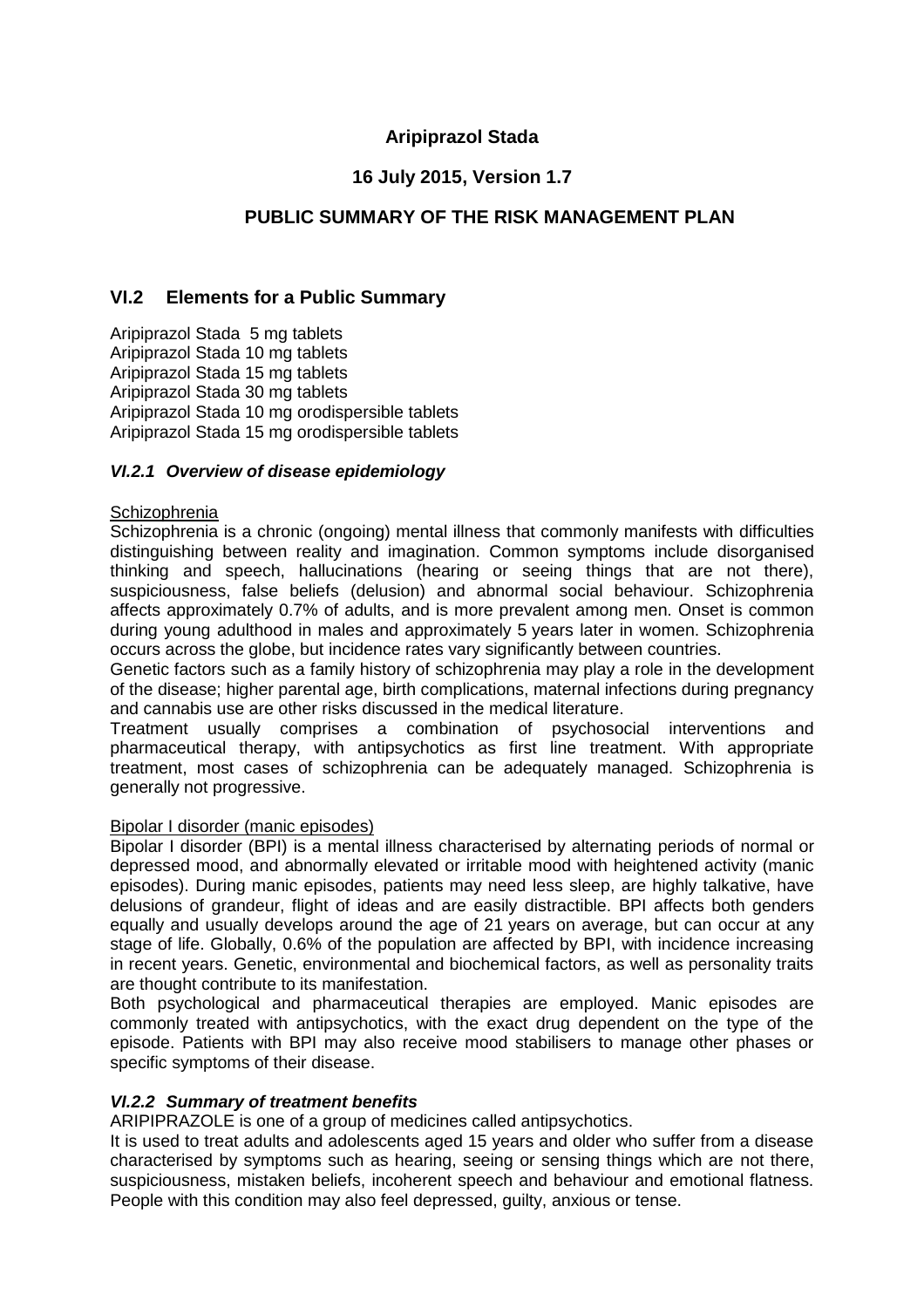# **Aripiprazol Stada**

# **16 July 2015, Version 1.7**

# **PUBLIC SUMMARY OF THE RISK MANAGEMENT PLAN**

### **VI.2 Elements for a Public Summary**

Aripiprazol Stada 5 mg tablets Aripiprazol Stada 10 mg tablets Aripiprazol Stada 15 mg tablets Aripiprazol Stada 30 mg tablets Aripiprazol Stada 10 mg orodispersible tablets Aripiprazol Stada 15 mg orodispersible tablets

#### *VI.2.1 Overview of disease epidemiology*

#### **Schizophrenia**

Schizophrenia is a chronic (ongoing) mental illness that commonly manifests with difficulties distinguishing between reality and imagination. Common symptoms include disorganised thinking and speech, hallucinations (hearing or seeing things that are not there), suspiciousness, false beliefs (delusion) and abnormal social behaviour. Schizophrenia affects approximately 0.7% of adults, and is more prevalent among men. Onset is common during young adulthood in males and approximately 5 years later in women. Schizophrenia occurs across the globe, but incidence rates vary significantly between countries.

Genetic factors such as a family history of schizophrenia may play a role in the development of the disease; higher parental age, birth complications, maternal infections during pregnancy and cannabis use are other risks discussed in the medical literature.

Treatment usually comprises a combination of psychosocial interventions and pharmaceutical therapy, with antipsychotics as first line treatment. With appropriate treatment, most cases of schizophrenia can be adequately managed. Schizophrenia is generally not progressive.

#### Bipolar I disorder (manic episodes)

Bipolar I disorder (BPI) is a mental illness characterised by alternating periods of normal or depressed mood, and abnormally elevated or irritable mood with heightened activity (manic episodes). During manic episodes, patients may need less sleep, are highly talkative, have delusions of grandeur, flight of ideas and are easily distractible. BPI affects both genders equally and usually develops around the age of 21 years on average, but can occur at any stage of life. Globally, 0.6% of the population are affected by BPI, with incidence increasing in recent years. Genetic, environmental and biochemical factors, as well as personality traits are thought contribute to its manifestation.

Both psychological and pharmaceutical therapies are employed. Manic episodes are commonly treated with antipsychotics, with the exact drug dependent on the type of the episode. Patients with BPI may also receive mood stabilisers to manage other phases or specific symptoms of their disease.

### *VI.2.2 Summary of treatment benefits*

ARIPIPRAZOLE is one of a group of medicines called antipsychotics.

It is used to treat adults and adolescents aged 15 years and older who suffer from a disease characterised by symptoms such as hearing, seeing or sensing things which are not there, suspiciousness, mistaken beliefs, incoherent speech and behaviour and emotional flatness. People with this condition may also feel depressed, guilty, anxious or tense.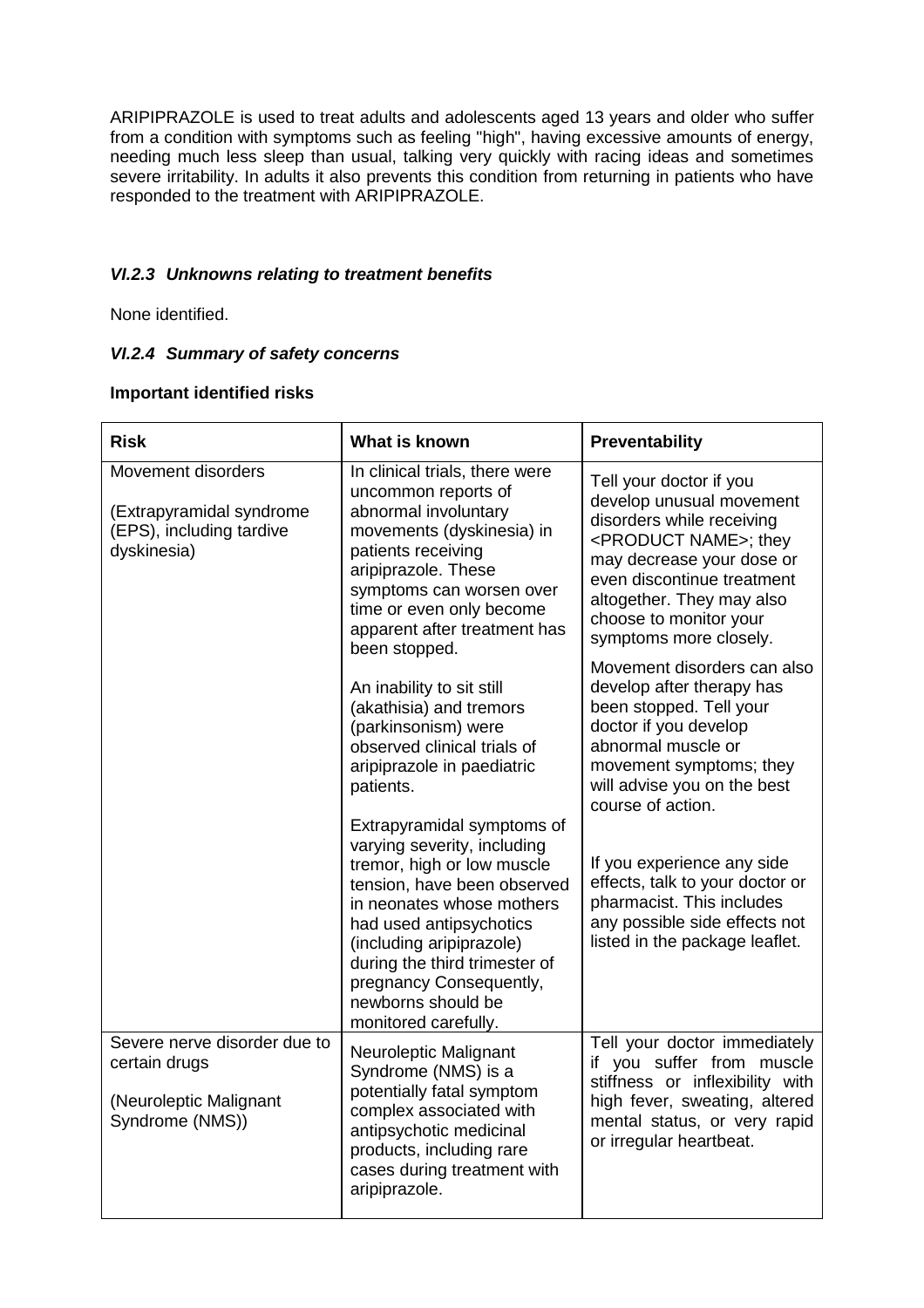ARIPIPRAZOLE is used to treat adults and adolescents aged 13 years and older who suffer from a condition with symptoms such as feeling "high", having excessive amounts of energy, needing much less sleep than usual, talking very quickly with racing ideas and sometimes severe irritability. In adults it also prevents this condition from returning in patients who have responded to the treatment with ARIPIPRAZOLE.

## *VI.2.3 Unknowns relating to treatment benefits*

None identified.

### *VI.2.4 Summary of safety concerns*

#### **Important identified risks**

| <b>Risk</b>                                                                                | What is known                                                                                                                                                                                                                                                                                                        | Preventability                                                                                                                                                                                                                                                         |
|--------------------------------------------------------------------------------------------|----------------------------------------------------------------------------------------------------------------------------------------------------------------------------------------------------------------------------------------------------------------------------------------------------------------------|------------------------------------------------------------------------------------------------------------------------------------------------------------------------------------------------------------------------------------------------------------------------|
| Movement disorders<br>(Extrapyramidal syndrome<br>(EPS), including tardive<br>dyskinesia)  | In clinical trials, there were<br>uncommon reports of<br>abnormal involuntary<br>movements (dyskinesia) in<br>patients receiving<br>aripiprazole. These<br>symptoms can worsen over<br>time or even only become<br>apparent after treatment has<br>been stopped.                                                     | Tell your doctor if you<br>develop unusual movement<br>disorders while receiving<br><product name="">; they<br/>may decrease your dose or<br/>even discontinue treatment<br/>altogether. They may also<br/>choose to monitor your<br/>symptoms more closely.</product> |
|                                                                                            | An inability to sit still<br>(akathisia) and tremors<br>(parkinsonism) were<br>observed clinical trials of<br>aripiprazole in paediatric<br>patients.                                                                                                                                                                | Movement disorders can also<br>develop after therapy has<br>been stopped. Tell your<br>doctor if you develop<br>abnormal muscle or<br>movement symptoms; they<br>will advise you on the best<br>course of action.                                                      |
|                                                                                            | Extrapyramidal symptoms of<br>varying severity, including<br>tremor, high or low muscle<br>tension, have been observed<br>in neonates whose mothers<br>had used antipsychotics<br>(including aripiprazole)<br>during the third trimester of<br>pregnancy Consequently,<br>newborns should be<br>monitored carefully. | If you experience any side<br>effects, talk to your doctor or<br>pharmacist. This includes<br>any possible side effects not<br>listed in the package leaflet.                                                                                                          |
| Severe nerve disorder due to<br>certain drugs<br>(Neuroleptic Malignant<br>Syndrome (NMS)) | Neuroleptic Malignant<br>Syndrome (NMS) is a<br>potentially fatal symptom<br>complex associated with<br>antipsychotic medicinal<br>products, including rare<br>cases during treatment with<br>aripiprazole.                                                                                                          | Tell your doctor immediately<br>if you suffer from muscle<br>stiffness or inflexibility with<br>high fever, sweating, altered<br>mental status, or very rapid<br>or irregular heartbeat.                                                                               |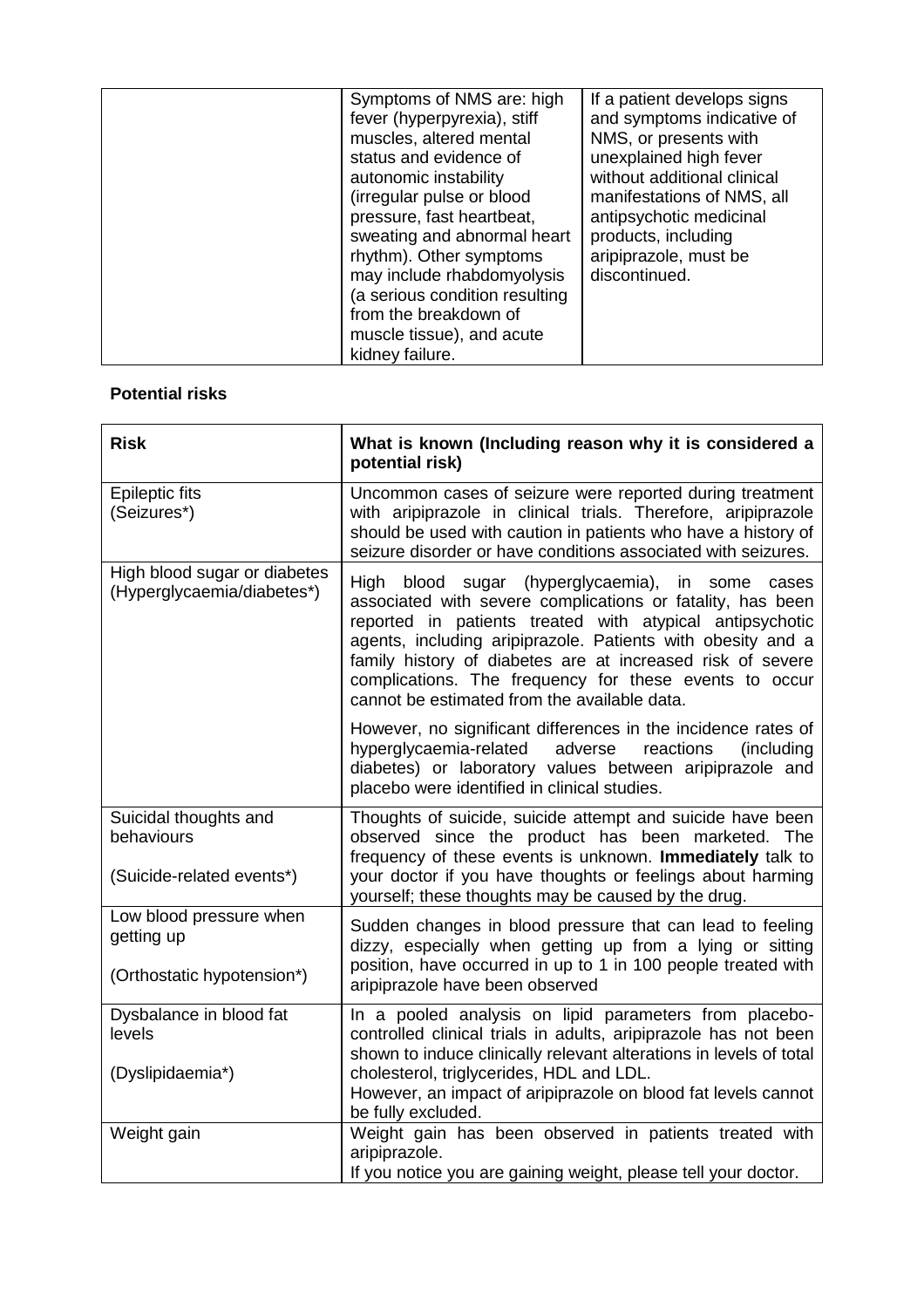| Symptoms of NMS are: high<br>fever (hyperpyrexia), stiff<br>muscles, altered mental<br>status and evidence of<br>autonomic instability<br>(irregular pulse or blood<br>pressure, fast heartbeat,<br>sweating and abnormal heart<br>rhythm). Other symptoms<br>may include rhabdomyolysis<br>(a serious condition resulting<br>from the breakdown of | If a patient develops signs<br>and symptoms indicative of<br>NMS, or presents with<br>unexplained high fever<br>without additional clinical<br>manifestations of NMS, all<br>antipsychotic medicinal<br>products, including<br>aripiprazole, must be<br>discontinued. |
|-----------------------------------------------------------------------------------------------------------------------------------------------------------------------------------------------------------------------------------------------------------------------------------------------------------------------------------------------------|-----------------------------------------------------------------------------------------------------------------------------------------------------------------------------------------------------------------------------------------------------------------------|
| muscle tissue), and acute                                                                                                                                                                                                                                                                                                                           |                                                                                                                                                                                                                                                                       |
| kidney failure.                                                                                                                                                                                                                                                                                                                                     |                                                                                                                                                                                                                                                                       |

### **Potential risks**

| <b>Risk</b>                                                         | What is known (Including reason why it is considered a<br>potential risk)                                                                                                                                                                                                                                                                                                                                         |
|---------------------------------------------------------------------|-------------------------------------------------------------------------------------------------------------------------------------------------------------------------------------------------------------------------------------------------------------------------------------------------------------------------------------------------------------------------------------------------------------------|
| <b>Epileptic fits</b><br>(Seizures*)                                | Uncommon cases of seizure were reported during treatment<br>with aripiprazole in clinical trials. Therefore, aripiprazole<br>should be used with caution in patients who have a history of<br>seizure disorder or have conditions associated with seizures.                                                                                                                                                       |
| High blood sugar or diabetes<br>(Hyperglycaemia/diabetes*)          | High blood sugar (hyperglycaemia), in some cases<br>associated with severe complications or fatality, has been<br>reported in patients treated with atypical antipsychotic<br>agents, including aripiprazole. Patients with obesity and a<br>family history of diabetes are at increased risk of severe<br>complications. The frequency for these events to occur<br>cannot be estimated from the available data. |
|                                                                     | However, no significant differences in the incidence rates of<br>hyperglycaemia-related<br>adverse<br>reactions<br>(including)<br>diabetes) or laboratory values between aripiprazole and<br>placebo were identified in clinical studies.                                                                                                                                                                         |
| Suicidal thoughts and<br>behaviours<br>(Suicide-related events*)    | Thoughts of suicide, suicide attempt and suicide have been<br>observed since the product has been marketed. The<br>frequency of these events is unknown. Immediately talk to<br>your doctor if you have thoughts or feelings about harming<br>yourself; these thoughts may be caused by the drug.                                                                                                                 |
| Low blood pressure when<br>getting up<br>(Orthostatic hypotension*) | Sudden changes in blood pressure that can lead to feeling<br>dizzy, especially when getting up from a lying or sitting<br>position, have occurred in up to 1 in 100 people treated with<br>aripiprazole have been observed                                                                                                                                                                                        |
| Dysbalance in blood fat<br>levels<br>(Dyslipidaemia*)               | In a pooled analysis on lipid parameters from placebo-<br>controlled clinical trials in adults, aripiprazole has not been<br>shown to induce clinically relevant alterations in levels of total<br>cholesterol, triglycerides, HDL and LDL.<br>However, an impact of aripiprazole on blood fat levels cannot<br>be fully excluded.                                                                                |
| Weight gain                                                         | Weight gain has been observed in patients treated with<br>aripiprazole.<br>If you notice you are gaining weight, please tell your doctor.                                                                                                                                                                                                                                                                         |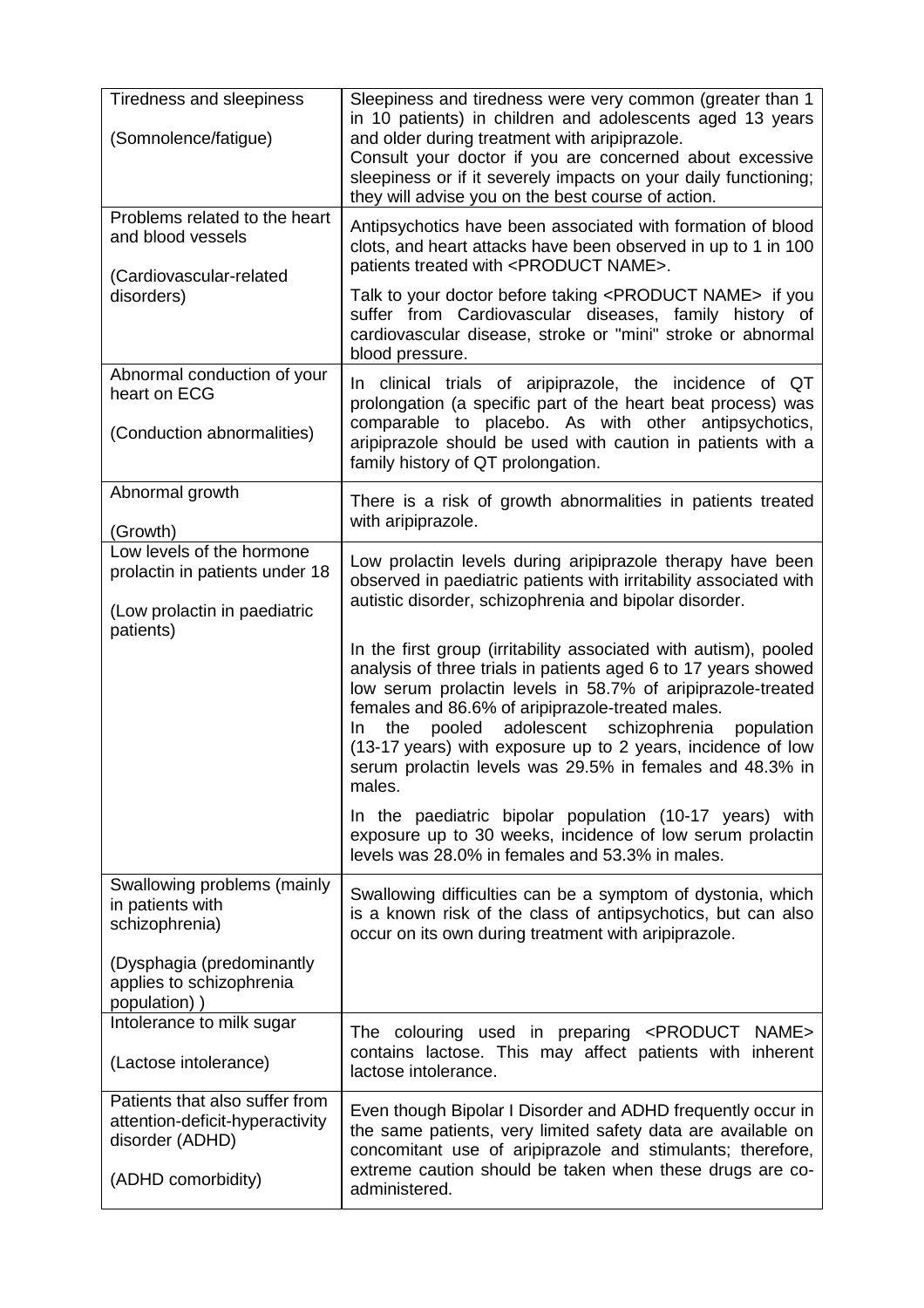| Tiredness and sleepiness<br>(Somnolence/fatigue)                                                           | Sleepiness and tiredness were very common (greater than 1<br>in 10 patients) in children and adolescents aged 13 years<br>and older during treatment with aripiprazole.<br>Consult your doctor if you are concerned about excessive<br>sleepiness or if it severely impacts on your daily functioning;<br>they will advise you on the best course of action.                                                                                                                                                                                                                                                                                                                                                                                                                                                                      |
|------------------------------------------------------------------------------------------------------------|-----------------------------------------------------------------------------------------------------------------------------------------------------------------------------------------------------------------------------------------------------------------------------------------------------------------------------------------------------------------------------------------------------------------------------------------------------------------------------------------------------------------------------------------------------------------------------------------------------------------------------------------------------------------------------------------------------------------------------------------------------------------------------------------------------------------------------------|
| Problems related to the heart<br>and blood vessels<br>(Cardiovascular-related                              | Antipsychotics have been associated with formation of blood<br>clots, and heart attacks have been observed in up to 1 in 100<br>patients treated with <product name="">.</product>                                                                                                                                                                                                                                                                                                                                                                                                                                                                                                                                                                                                                                                |
| disorders)                                                                                                 | Talk to your doctor before taking <product name=""> if you<br/>suffer from Cardiovascular diseases, family history of<br/>cardiovascular disease, stroke or "mini" stroke or abnormal<br/>blood pressure.</product>                                                                                                                                                                                                                                                                                                                                                                                                                                                                                                                                                                                                               |
| Abnormal conduction of your<br>heart on ECG<br>(Conduction abnormalities)                                  | In clinical trials of aripiprazole, the incidence of QT<br>prolongation (a specific part of the heart beat process) was<br>comparable to placebo. As with other antipsychotics,                                                                                                                                                                                                                                                                                                                                                                                                                                                                                                                                                                                                                                                   |
|                                                                                                            | aripiprazole should be used with caution in patients with a<br>family history of QT prolongation.                                                                                                                                                                                                                                                                                                                                                                                                                                                                                                                                                                                                                                                                                                                                 |
| Abnormal growth<br>(Growth)                                                                                | There is a risk of growth abnormalities in patients treated<br>with aripiprazole.                                                                                                                                                                                                                                                                                                                                                                                                                                                                                                                                                                                                                                                                                                                                                 |
| Low levels of the hormone<br>prolactin in patients under 18<br>(Low prolactin in paediatric<br>patients)   | Low prolactin levels during aripiprazole therapy have been<br>observed in paediatric patients with irritability associated with<br>autistic disorder, schizophrenia and bipolar disorder.<br>In the first group (irritability associated with autism), pooled<br>analysis of three trials in patients aged 6 to 17 years showed<br>low serum prolactin levels in 58.7% of aripiprazole-treated<br>females and 86.6% of aripiprazole-treated males.<br>pooled adolescent schizophrenia<br>the<br>population<br>In.<br>(13-17 years) with exposure up to 2 years, incidence of low<br>serum prolactin levels was 29.5% in females and 48.3% in<br>males.<br>In the paediatric bipolar population (10-17 years) with<br>exposure up to 30 weeks, incidence of low serum prolactin<br>levels was 28.0% in females and 53.3% in males. |
| Swallowing problems (mainly<br>in patients with<br>schizophrenia)                                          | Swallowing difficulties can be a symptom of dystonia, which<br>is a known risk of the class of antipsychotics, but can also<br>occur on its own during treatment with aripiprazole.                                                                                                                                                                                                                                                                                                                                                                                                                                                                                                                                                                                                                                               |
| (Dysphagia (predominantly<br>applies to schizophrenia<br>population))                                      |                                                                                                                                                                                                                                                                                                                                                                                                                                                                                                                                                                                                                                                                                                                                                                                                                                   |
| Intolerance to milk sugar<br>(Lactose intolerance)                                                         | The colouring used in preparing <product<br>NAME&gt;<br/>contains lactose. This may affect patients with inherent<br/>lactose intolerance.</product<br>                                                                                                                                                                                                                                                                                                                                                                                                                                                                                                                                                                                                                                                                           |
| Patients that also suffer from<br>attention-deficit-hyperactivity<br>disorder (ADHD)<br>(ADHD comorbidity) | Even though Bipolar I Disorder and ADHD frequently occur in<br>the same patients, very limited safety data are available on<br>concomitant use of aripiprazole and stimulants; therefore,<br>extreme caution should be taken when these drugs are co-<br>administered.                                                                                                                                                                                                                                                                                                                                                                                                                                                                                                                                                            |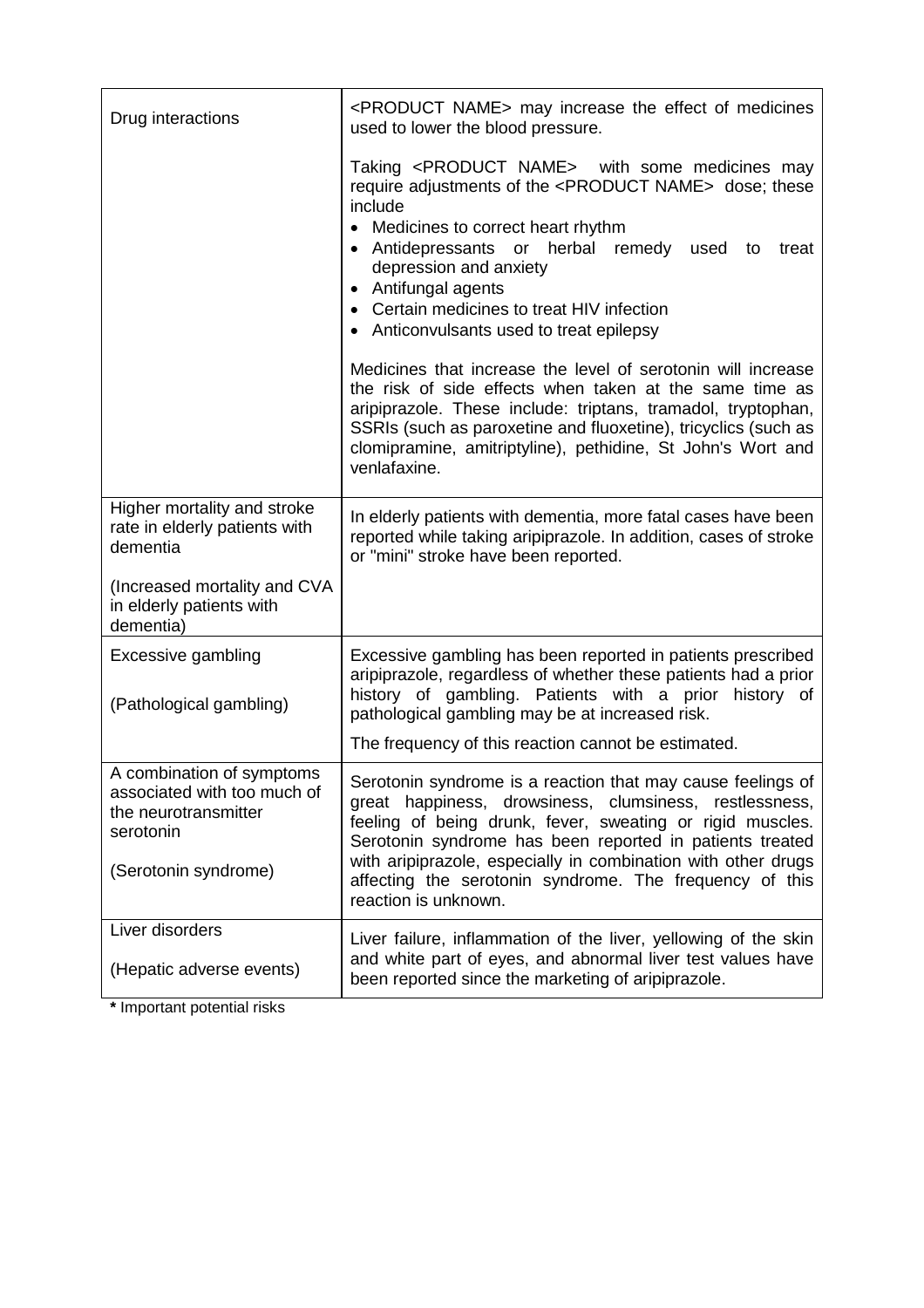| Drug interactions                                                                                                     | <product name=""> may increase the effect of medicines<br/>used to lower the blood pressure.</product>                                                                                                                                                                                                                                                                                                                                                                                                                                                                                                                                                                                                                                              |
|-----------------------------------------------------------------------------------------------------------------------|-----------------------------------------------------------------------------------------------------------------------------------------------------------------------------------------------------------------------------------------------------------------------------------------------------------------------------------------------------------------------------------------------------------------------------------------------------------------------------------------------------------------------------------------------------------------------------------------------------------------------------------------------------------------------------------------------------------------------------------------------------|
|                                                                                                                       | Taking <product name=""> with some medicines may<br/>require adjustments of the <product name=""> dose; these<br/>include<br/>• Medicines to correct heart rhythm<br/>• Antidepressants or herbal remedy used<br/>treat<br/>to<br/>depression and anxiety<br/>• Antifungal agents<br/>• Certain medicines to treat HIV infection<br/>• Anticonvulsants used to treat epilepsy<br/>Medicines that increase the level of serotonin will increase<br/>the risk of side effects when taken at the same time as<br/>aripiprazole. These include: triptans, tramadol, tryptophan,<br/>SSRIs (such as paroxetine and fluoxetine), tricyclics (such as<br/>clomipramine, amitriptyline), pethidine, St John's Wort and<br/>venlafaxine.</product></product> |
| Higher mortality and stroke<br>rate in elderly patients with<br>dementia<br>(Increased mortality and CVA              | In elderly patients with dementia, more fatal cases have been<br>reported while taking aripiprazole. In addition, cases of stroke<br>or "mini" stroke have been reported.                                                                                                                                                                                                                                                                                                                                                                                                                                                                                                                                                                           |
| in elderly patients with<br>dementia)                                                                                 |                                                                                                                                                                                                                                                                                                                                                                                                                                                                                                                                                                                                                                                                                                                                                     |
| Excessive gambling<br>(Pathological gambling)                                                                         | Excessive gambling has been reported in patients prescribed<br>aripiprazole, regardless of whether these patients had a prior<br>history of gambling. Patients with a prior<br>history of<br>pathological gambling may be at increased risk.                                                                                                                                                                                                                                                                                                                                                                                                                                                                                                        |
|                                                                                                                       | The frequency of this reaction cannot be estimated.                                                                                                                                                                                                                                                                                                                                                                                                                                                                                                                                                                                                                                                                                                 |
| A combination of symptoms<br>associated with too much of<br>the neurotransmitter<br>serotonin<br>(Serotonin syndrome) | Serotonin syndrome is a reaction that may cause feelings of<br>great happiness, drowsiness, clumsiness, restlessness,<br>feeling of being drunk, fever, sweating or rigid muscles.<br>Serotonin syndrome has been reported in patients treated<br>with aripiprazole, especially in combination with other drugs<br>affecting the serotonin syndrome. The frequency of this<br>reaction is unknown.                                                                                                                                                                                                                                                                                                                                                  |
| Liver disorders<br>(Hepatic adverse events)                                                                           | Liver failure, inflammation of the liver, yellowing of the skin<br>and white part of eyes, and abnormal liver test values have<br>been reported since the marketing of aripiprazole.                                                                                                                                                                                                                                                                                                                                                                                                                                                                                                                                                                |

**\*** Important potential risks